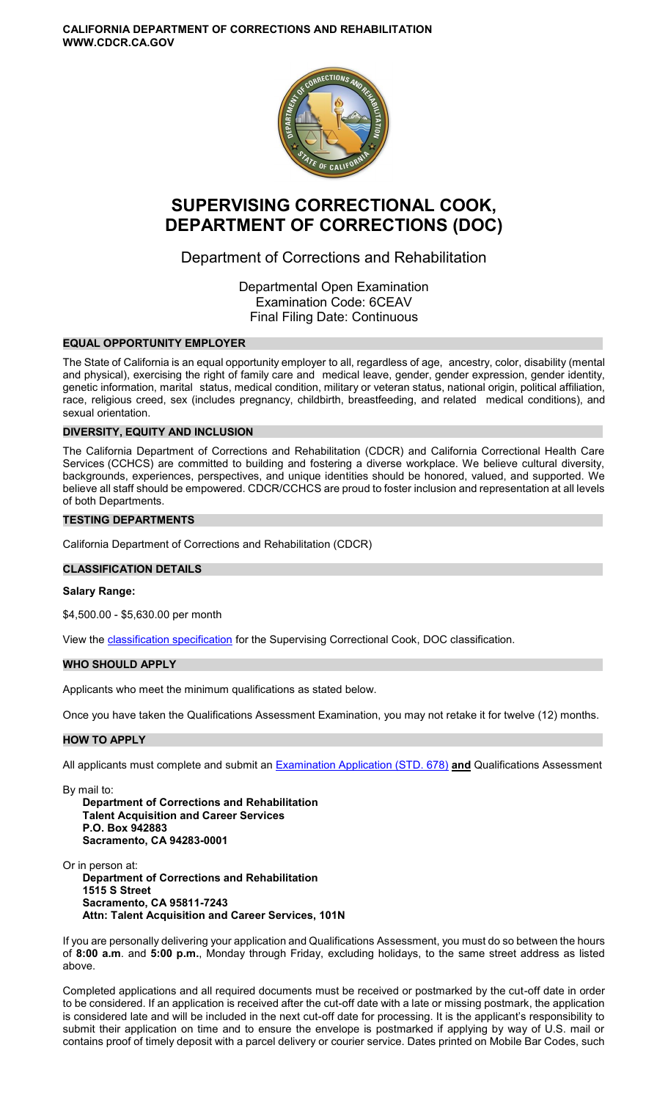**CALIFORNIA DEPARTMENT OF CORRECTIONS AND REHABILITATION WWW.CDCR.CA.GOV** 



# **SUPERVISING CORRECTIONAL COOK, DEPARTMENT OF CORRECTIONS (DOC)**

Department of Corrections and Rehabilitation

Departmental Open Examination Examination Code: 6CEAV Final Filing Date: Continuous

# **EQUAL OPPORTUNITY EMPLOYER**

The State of California is an equal opportunity employer to all, regardless of age, ancestry, color, disability (mental and physical), exercising the right of family care and medical leave, gender, gender expression, gender identity, genetic information, marital status, medical condition, military or veteran status, national origin, political affiliation, race, religious creed, sex (includes pregnancy, childbirth, breastfeeding, and related medical conditions), and sexual orientation.

# **DIVERSITY, EQUITY AND INCLUSION**

The California Department of Corrections and Rehabilitation (CDCR) and California Correctional Health Care Services (CCHCS) are committed to building and fostering a diverse workplace. We believe cultural diversity, backgrounds, experiences, perspectives, and unique identities should be honored, valued, and supported. We believe all staff should be empowered. CDCR/CCHCS are proud to foster inclusion and representation at all levels of both Departments.

## **TESTING DEPARTMENTS**

California Department of Corrections and Rehabilitation (CDCR)

# **CLASSIFICATION DETAILS**

#### **Salary Range:**

\$4,500.00 - \$5,630.00 per month

View the **classification specification** for the Supervising Correctional Cook, DOC classification.

#### **WHO SHOULD APPLY**

Applicants who meet the minimum qualifications as stated below.

Once you have taken the Qualifications Assessment Examination, you may not retake it for twelve (12) months.

#### **HOW TO APPLY**

All applicants must complete and submit an [Examination Application \(STD. 678\)](https://jobs.ca.gov/pdf/STD678.pdf) **and** Qualifications Assessment

By mail to:

**Department of Corrections and Rehabilitation Talent Acquisition and Career Services P.O. Box 942883 Sacramento, CA 94283-0001** 

Or in person at: **Department of Corrections and Rehabilitation 1515 S Street Sacramento, CA 95811-7243 Attn: Talent Acquisition and Career Services, 101N** 

If you are personally delivering your application and Qualifications Assessment, you must do so between the hours of **8:00 a.m**. and **5:00 p.m.**, Monday through Friday, excluding holidays, to the same street address as listed above.

Completed applications and all required documents must be received or postmarked by the cut-off date in order to be considered. If an application is received after the cut-off date with a late or missing postmark, the application is considered late and will be included in the next cut-off date for processing. It is the applicant's responsibility to submit their application on time and to ensure the envelope is postmarked if applying by way of U.S. mail or contains proof of timely deposit with a parcel delivery or courier service. Dates printed on Mobile Bar Codes, such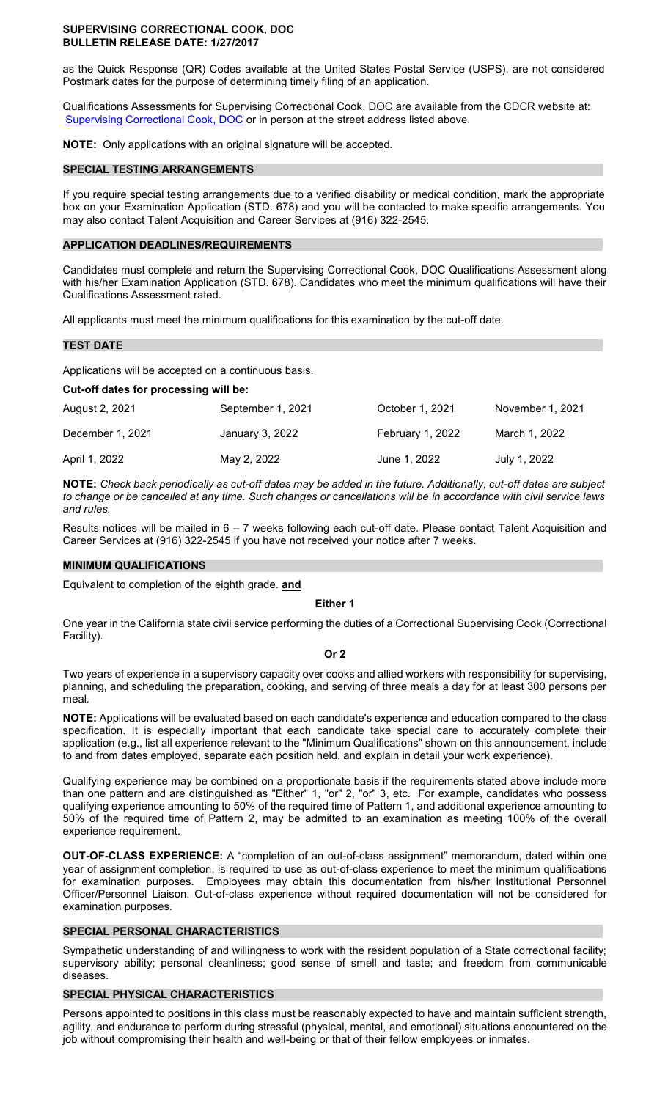#### **SUPERVISING CORRECTIONAL COOK, DOC BULLETIN RELEASE DATE: 1/27/2017**

as the Quick Response (QR) Codes available at the United States Postal Service (USPS), are not considered Postmark dates for the purpose of determining timely filing of an application.

Qualifications Assessments for Supervising Correctional Cook, DOC are available from the CDCR website at: [Supervising Correctional Cook, DOC](https://www.cdcr.ca.gov/careers/supervisingcorrcookdocqa-o-c/) or in person at the street address listed above.

**NOTE:** Only applications with an original signature will be accepted.

## **SPECIAL TESTING ARRANGEMENTS**

If you require special testing arrangements due to a verified disability or medical condition, mark the appropriate box on your Examination Application (STD. 678) and you will be contacted to make specific arrangements. You may also contact Talent Acquisition and Career Services at (916) 322-2545.

## **APPLICATION DEADLINES/REQUIREMENTS**

Candidates must complete and return the Supervising Correctional Cook, DOC Qualifications Assessment along with his/her Examination Application (STD. 678). Candidates who meet the minimum qualifications will have their Qualifications Assessment rated.

All applicants must meet the minimum qualifications for this examination by the cut-off date.

## **TEST DATE**

Applications will be accepted on a continuous basis.

## **Cut-off dates for processing will be:**

| August 2, 2021   | September 1, 2021 | October 1, 2021  | November 1, 2021 |
|------------------|-------------------|------------------|------------------|
| December 1, 2021 | January 3, 2022   | February 1, 2022 | March 1, 2022    |
| April 1, 2022    | May 2, 2022       | June 1, 2022     | July 1, 2022     |

**NOTE:** *Check back periodically as cut-off dates may be added in the future. Additionally, cut-off dates are subject to change or be cancelled at any time. Such changes or cancellations will be in accordance with civil service laws and rules.* 

Results notices will be mailed in 6 – 7 weeks following each cut-off date. Please contact Talent Acquisition and Career Services at (916) 322-2545 if you have not received your notice after 7 weeks.

## **MINIMUM QUALIFICATIONS**

Equivalent to completion of the eighth grade. **and** 

#### **Either 1**

One year in the California state civil service performing the duties of a Correctional Supervising Cook (Correctional Facility).

#### **Or 2**

Two years of experience in a supervisory capacity over cooks and allied workers with responsibility for supervising, planning, and scheduling the preparation, cooking, and serving of three meals a day for at least 300 persons per meal.

**NOTE:** Applications will be evaluated based on each candidate's experience and education compared to the class specification. It is especially important that each candidate take special care to accurately complete their application (e.g., list all experience relevant to the "Minimum Qualifications" shown on this announcement, include to and from dates employed, separate each position held, and explain in detail your work experience).

Qualifying experience may be combined on a proportionate basis if the requirements stated above include more than one pattern and are distinguished as "Either" 1, "or" 2, "or" 3, etc. For example, candidates who possess qualifying experience amounting to 50% of the required time of Pattern 1, and additional experience amounting to 50% of the required time of Pattern 2, may be admitted to an examination as meeting 100% of the overall experience requirement.

**OUT-OF-CLASS EXPERIENCE:** A "completion of an out-of-class assignment" memorandum, dated within one year of assignment completion, is required to use as out-of-class experience to meet the minimum qualifications for examination purposes. Employees may obtain this documentation from his/her Institutional Personnel Officer/Personnel Liaison. Out-of-class experience without required documentation will not be considered for examination purposes.

# **SPECIAL PERSONAL CHARACTERISTICS**

Sympathetic understanding of and willingness to work with the resident population of a State correctional facility; supervisory ability; personal cleanliness; good sense of smell and taste; and freedom from communicable diseases.

# **SPECIAL PHYSICAL CHARACTERISTICS**

Persons appointed to positions in this class must be reasonably expected to have and maintain sufficient strength, agility, and endurance to perform during stressful (physical, mental, and emotional) situations encountered on the job without compromising their health and well-being or that of their fellow employees or inmates.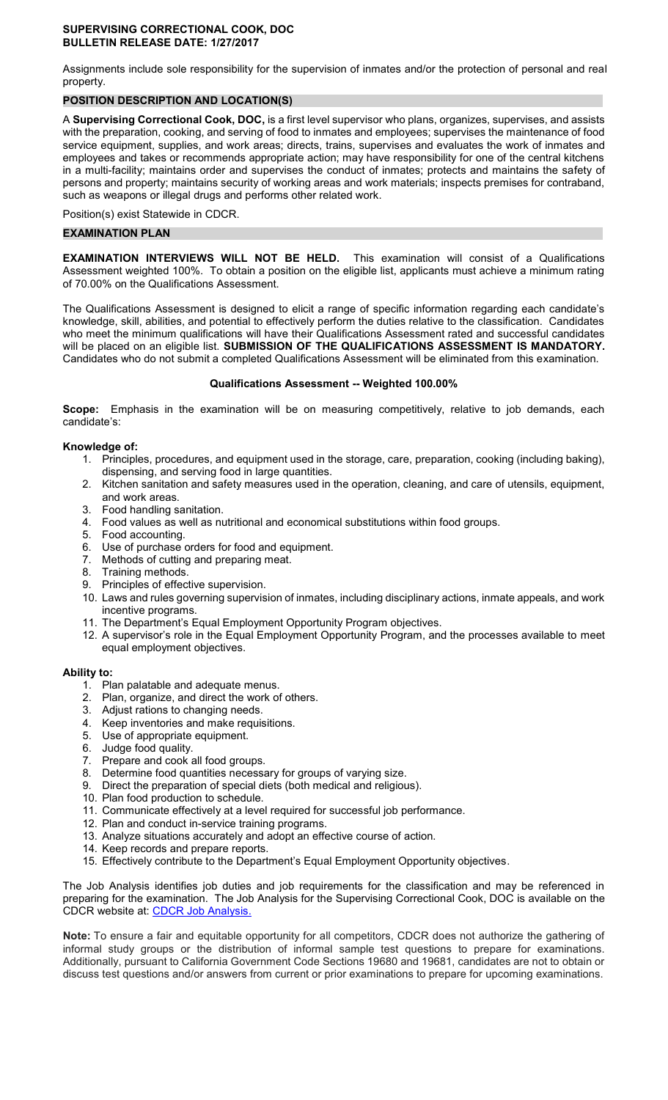#### **SUPERVISING CORRECTIONAL COOK, DOC BULLETIN RELEASE DATE: 1/27/2017**

Assignments include sole responsibility for the supervision of inmates and/or the protection of personal and real property.

# **POSITION DESCRIPTION AND LOCATION(S)**

A **Supervising Correctional Cook, DOC,** is a first level supervisor who plans, organizes, supervises, and assists with the preparation, cooking, and serving of food to inmates and employees; supervises the maintenance of food service equipment, supplies, and work areas; directs, trains, supervises and evaluates the work of inmates and employees and takes or recommends appropriate action; may have responsibility for one of the central kitchens in a multi-facility; maintains order and supervises the conduct of inmates; protects and maintains the safety of persons and property; maintains security of working areas and work materials; inspects premises for contraband, such as weapons or illegal drugs and performs other related work.

Position(s) exist Statewide in CDCR.

# **EXAMINATION PLAN**

**EXAMINATION INTERVIEWS WILL NOT BE HELD.** This examination will consist of a Qualifications Assessment weighted 100%. To obtain a position on the eligible list, applicants must achieve a minimum rating of 70.00% on the Qualifications Assessment.

The Qualifications Assessment is designed to elicit a range of specific information regarding each candidate's knowledge, skill, abilities, and potential to effectively perform the duties relative to the classification. Candidates who meet the minimum qualifications will have their Qualifications Assessment rated and successful candidates will be placed on an eligible list. **SUBMISSION OF THE QUALIFICATIONS ASSESSMENT IS MANDATORY.**  Candidates who do not submit a completed Qualifications Assessment will be eliminated from this examination.

## **Qualifications Assessment -- Weighted 100.00%**

**Scope:** Emphasis in the examination will be on measuring competitively, relative to job demands, each candidate's:

# **Knowledge of:**

- 1. Principles, procedures, and equipment used in the storage, care, preparation, cooking (including baking), dispensing, and serving food in large quantities.
- 2. Kitchen sanitation and safety measures used in the operation, cleaning, and care of utensils, equipment, and work areas.
- 3. Food handling sanitation.
- 4. Food values as well as nutritional and economical substitutions within food groups.
- 5. Food accounting.
- 6. Use of purchase orders for food and equipment.
- 7. Methods of cutting and preparing meat.
- 8. Training methods.
- 9. Principles of effective supervision.
- 10. Laws and rules governing supervision of inmates, including disciplinary actions, inmate appeals, and work incentive programs.
- 11. The Department's Equal Employment Opportunity Program objectives.
- 12. A supervisor's role in the Equal Employment Opportunity Program, and the processes available to meet equal employment objectives.

# **Ability to:**

- 1. Plan palatable and adequate menus.
- 2. Plan, organize, and direct the work of others.
- 3. Adjust rations to changing needs.
- 4. Keep inventories and make requisitions.
- 5. Use of appropriate equipment.
- 6. Judge food quality.
- 7. Prepare and cook all food groups.
- 8. Determine food quantities necessary for groups of varying size.
- 9. Direct the preparation of special diets (both medical and religious).
- 10. Plan food production to schedule.
- 11. Communicate effectively at a level required for successful job performance.
- 12. Plan and conduct in-service training programs.
- 13. Analyze situations accurately and adopt an effective course of action.
- 14. Keep records and prepare reports.
- 15. Effectively contribute to the Department's Equal Employment Opportunity objectives.

The Job Analysis identifies job duties and job requirements for the classification and may be referenced in preparing for the examination. The Job Analysis for the Supervising Correctional Cook, DOC is available on the CDCR website at: [CDCR Job Analysis.](https://www.cdcr.ca.gov/Career_Opportunities/HR/OPS/Exams/Analysis/index.html)

**Note:** To ensure a fair and equitable opportunity for all competitors, CDCR does not authorize the gathering of informal study groups or the distribution of informal sample test questions to prepare for examinations. Additionally, pursuant to California Government Code Sections 19680 and 19681, candidates are not to obtain or discuss test questions and/or answers from current or prior examinations to prepare for upcoming examinations.